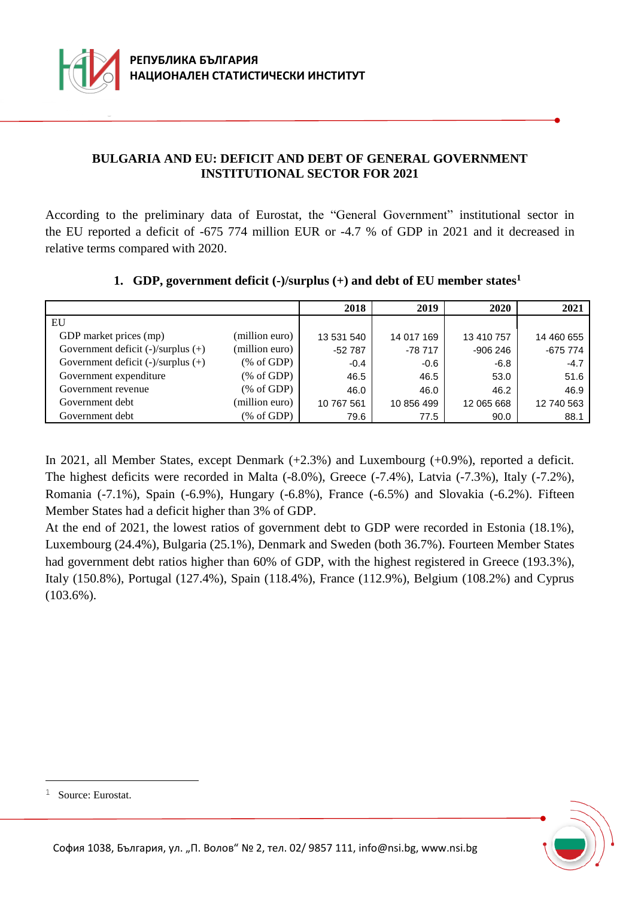

### **BULGARIA AND EU: DEFICIT AND DEBT OF GENERAL GOVERNMENT INSTITUTIONAL SECTOR FOR 2021**

According to the preliminary data of Eurostat, the "General Government" institutional sector in the EU reported a deficit of -675 774 million EUR or -4.7 % of GDP in 2021 and it decreased in relative terms compared with 2020.

|                                         |                | 2018       | 2019       | 2020       | 2021       |
|-----------------------------------------|----------------|------------|------------|------------|------------|
| EU                                      |                |            |            |            |            |
| GDP market prices (mp)                  | (million euro) | 13 531 540 | 14 017 169 | 13 410 757 | 14 460 655 |
| Government deficit $(-)/$ surplus $(+)$ | (million euro) | $-52787$   | $-78717$   | $-906246$  | $-675774$  |
| Government deficit $(-)/$ surplus $(+)$ | % of GDP       | $-0.4$     | $-0.6$     | $-6.8$     | $-4.7$     |
| Government expenditure                  | % of GDP       | 46.5       | 46.5       | 53.0       | 51.6       |
| Government revenue                      | % of GDP       | 46.0       | 46.0       | 46.2       | 46.9       |
| Government debt                         | (million euro) | 10 767 561 | 10 856 499 | 12 065 668 | 12 740 563 |
| Government debt                         | % of GDP       | 79.6       | 77.5       | 90.0       | 88.1       |

### **1. GDP, government deficit (-)/surplus (+) and debt of EU member states<sup>1</sup>**

In 2021, all Member States, except Denmark (+2.3%) and Luxembourg (+0.9%), reported a deficit. The highest deficits were recorded in Malta (-8.0%), Greece (-7.4%), Latvia (-7.3%), Italy (-7.2%), Romania (-7.1%), Spain (-6.9%), Hungary (-6.8%), France (-6.5%) and Slovakia (-6.2%). Fifteen Member States had a deficit higher than 3% of GDP.

At the end of 2021, the lowest ratios of government debt to GDP were recorded in Estonia (18.1%), Luxembourg (24.4%), Bulgaria (25.1%), Denmark and Sweden (both 36.7%). Fourteen Member States had government debt ratios higher than 60% of GDP, with the highest registered in Greece (193.3%), Italy (150.8%), Portugal (127.4%), Spain (118.4%), France (112.9%), Belgium (108.2%) and Cyprus (103.6%).

i<br>L



<sup>&</sup>lt;sup>1</sup> Source: Eurostat.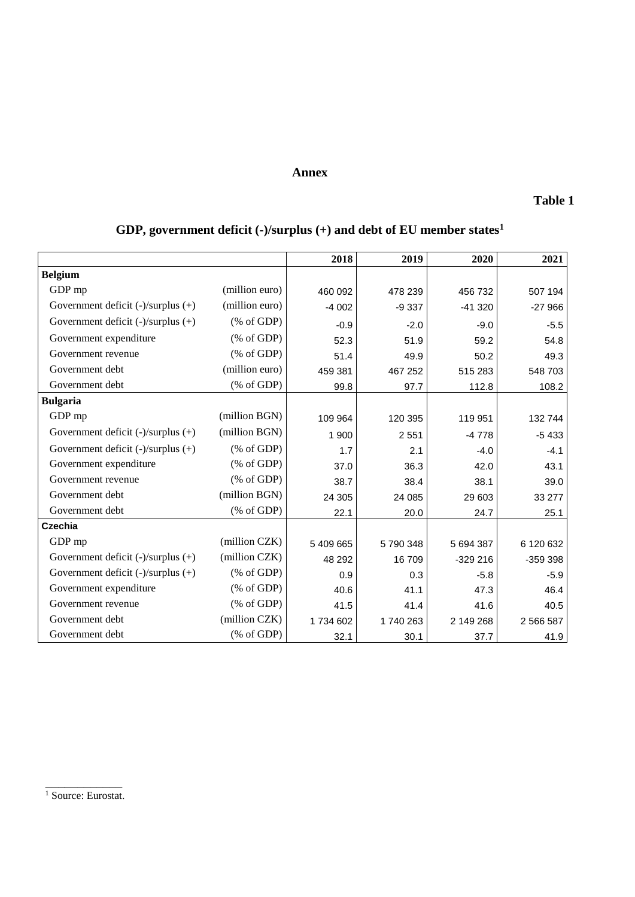#### **Annex**

### **Table 1**

## **GDP, government deficit (-)/surplus (+) and debt of EU member states<sup>1</sup>**

|                                         |                                                                 | 2018    | 2019     | 2020      | 2021      |
|-----------------------------------------|-----------------------------------------------------------------|---------|----------|-----------|-----------|
| <b>Belgium</b>                          |                                                                 |         |          |           |           |
| GDP mp                                  | (million euro)                                                  | 460 092 | 478 239  | 456 732   | 507 194   |
| Government deficit (-)/surplus (+)      | (million euro)                                                  | $-4002$ | $-9337$  | $-41320$  | $-27966$  |
| Government deficit $(-)/$ surplus $(+)$ | $(% \mathcal{L}_{0}^{\infty}$ (% of GDP)                        | $-0.9$  | $-2.0$   | $-9.0$    | $-5.5$    |
| Government expenditure                  | $(% \mathcal{L}_{0}^{\infty}$ (% of GDP)                        | 52.3    | 51.9     | 59.2      | 54.8      |
| Government revenue                      | $(% \mathcal{L}_{0} \cap \mathcal{L}_{1})$ (% of GDP)           | 51.4    | 49.9     | 50.2      | 49.3      |
| Government debt                         | (million euro)                                                  | 459 381 | 467 252  | 515 283   | 548 703   |
| Government debt                         | $(% \mathcal{L}_{0} \cap \mathcal{L}_{1})$ (% of GDP)           | 99.8    | 97.7     | 112.8     | 108.2     |
| <b>Bulgaria</b>                         |                                                                 |         |          |           |           |
| GDP mp                                  | (million BGN)                                                   | 109 964 | 120 395  | 119 951   | 132 744   |
| Government deficit $(-)/$ surplus $(+)$ | (million BGN)                                                   | 1 900   | 2 5 5 1  | $-4778$   | $-5433$   |
| Government deficit (-)/surplus (+)      | $(% \mathcal{L}_{0}^{\infty}$ (% of GDP)                        | 1.7     | 2.1      | $-4.0$    | $-4.1$    |
| Government expenditure                  | $(% \mathcal{L}_{0} \cap \mathcal{L}_{1})$ (% of GDP)           | 37.0    | 36.3     | 42.0      | 43.1      |
| Government revenue                      | $(% \mathcal{L}_{0} \cap \mathcal{L}_{1})$ (% of GDP)           | 38.7    | 38.4     | 38.1      | 39.0      |
| Government debt                         | (million BGN)                                                   | 24 30 5 | 24 085   | 29 603    | 33 277    |
| Government debt                         | $(% \mathcal{L}_{0}^{\ast }\otimes \mathcal{L}_{1})$ (% of GDP) | 22.1    | 20.0     | 24.7      | 25.1      |
| Czechia                                 |                                                                 |         |          |           |           |
| GDP mp                                  | (million CZK)                                                   | 5409665 | 5790348  | 5 694 387 | 6 120 632 |
| Government deficit $(-)/$ surplus $(+)$ | (million CZK)                                                   | 48 292  | 16 709   | $-329216$ | -359 398  |
| Government deficit $(-)/$ surplus $(+)$ | $(% \mathcal{L}_{0}^{\infty}$ (% of GDP)                        | 0.9     | 0.3      | $-5.8$    | $-5.9$    |
| Government expenditure                  | $(% \mathcal{L}_{0} \cap \mathcal{L}_{1})$ (% of GDP)           | 40.6    | 41.1     | 47.3      | 46.4      |
| Government revenue                      | $(% \mathcal{L}_{0}^{\infty}$ (% of GDP)                        | 41.5    | 41.4     | 41.6      | 40.5      |
| Government debt                         | (million CZK)                                                   | 1734602 | 1740 263 | 2 149 268 | 2 566 587 |
| Government debt                         | $(% \mathcal{L}_{0} \cap \mathcal{L}_{1})$ (% of GDP)           | 32.1    | 30.1     | 37.7      | 41.9      |

\_\_\_\_\_\_\_\_\_\_\_\_ <sup>1</sup> Source: Eurostat.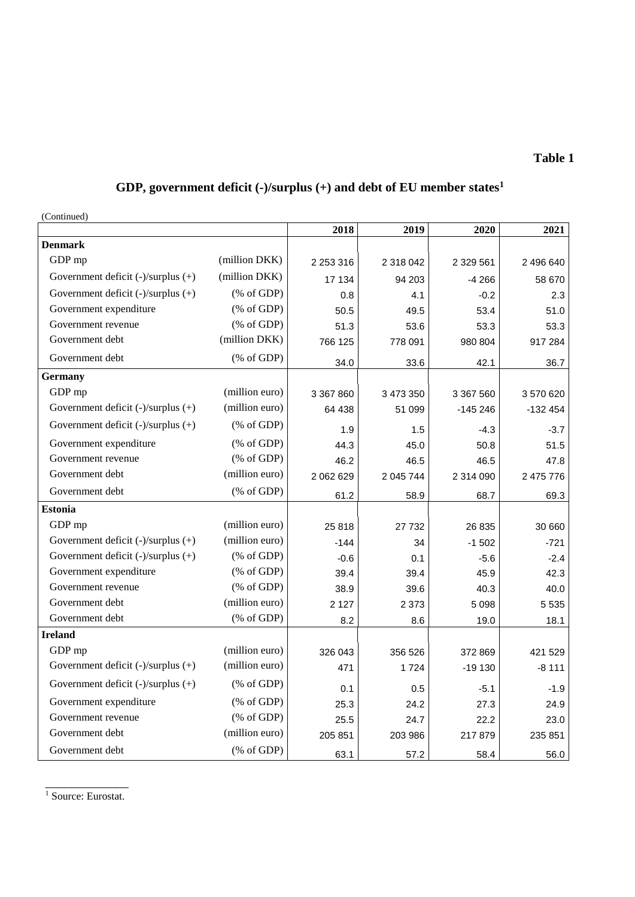#### **GDP, government deficit (-)/surplus (+) and debt of EU member states<sup>1</sup>**

(Continued) **2018 2019 2020 2021 Denmark**  GDP mp (million DKK) 2 253 316 2 318 042 2 329 561 2 496 640 Government deficit (-)/surplus (+) (million DKK)  $\begin{vmatrix} 17 & 134 & 94 & 203 \\ 17 & 134 & 94 & 203 \end{vmatrix}$  -4 266 58 670 Government deficit (-)/surplus (+)  $(% \text{ of GDP})$   $0.8$   $4.1$   $-0.2$   $2.3$ Government expenditure  $(\% \text{ of GDP})$   $50.5$   $49.5$   $53.4$   $51.0$ Government revenue  $(\% \text{ of GDP})$   $51.3$   $53.6$   $53.3$   $53.3$ Government debt (million DKK) 766 125 778 091 980 804 917 284 Government debt  $(% \text{ of GDP})$   $34.0$   $33.6$   $42.1$   $36.7$ **Germany** GDP mp (million euro) 3 367 860 3 473 350 3 367 560 3 3670 620 Government deficit (-)/surplus (+) (million euro)  $\begin{vmatrix} 64 & 438 & 51 & 099 \\ 64 & 338 & 51 & 099 \end{vmatrix}$  -145 246 -132 454 Government deficit (-)/surplus (+)  $\left( \% \text{ of GDP} \right)$   $\left( 1.9 \right)$   $\left( 1.5 \right)$   $\left( -4.3 \right)$   $\left( -3.7 \right)$ Government expenditure  $(\% \text{ of GDP})$   $(44.3$   $45.0$   $50.8$   $51.5$ Government revenue  $(\% \text{ of GDP})$   $46.2$   $46.5$   $46.5$   $47.8$ Government debt (million euro) 2 062 629 2 045 744 2 314 090 2 475 776 Government debt  $(\% \text{ of GDP})$  61.2 68.9 68.7 69.3 **Estonia** GDP mp (million euro)  $25818$   $27732$   $26835$  30 660 Government deficit  $(\text{-})$ /surplus  $(\text{+})$  (million euro)  $\begin{vmatrix} 1 & 4 & 34 \\ -1 & 34 & -1502 \end{vmatrix}$  -1 502 Government deficit (-)/surplus (+)  $(% \text{ of GDP})$   $-0.6$   $0.1$   $-5.6$   $-2.4$  Government expenditure (% of GDP) 39.4 39.4 45.9 42.3 Government revenue  $(\% \text{ of GDP})$   $38.9$   $39.6$   $40.3$   $40.0$  Government debt (million euro) 2 127 2 373 5 098 5 535 Government debt  $(\% \text{ of GDP})$   $8.2$   $8.6$  19.0 18.1 **Ireland** GDP mp (million euro) 326 043 356 526 372 869 421 529 Government deficit (-)/surplus (+) (million euro)  $\begin{vmatrix} 471 & 1724 & -19130 \\ -19130 & -8111 \end{vmatrix}$ Government deficit (-)/surplus (+)  $(% \text{ of GDP})$   $[0.1]$   $[0.5]$   $-5.1$   $-1.9$ Government expenditure  $(\% \text{ of GDP})$   $(25.3 \times 24.2 \times 27.3)$  24.9 Government revenue (% of GDP) 25.5 24.7 22.2 23.0 Government debt (million euro) 205 851 203 986 217 879 235 851 Government debt  $(% \text{ of GDP})$  63.1 57.2 58.4 56.0

\_\_\_\_\_\_\_\_\_\_\_\_\_  $\overline{1}$  Source: Eurostat.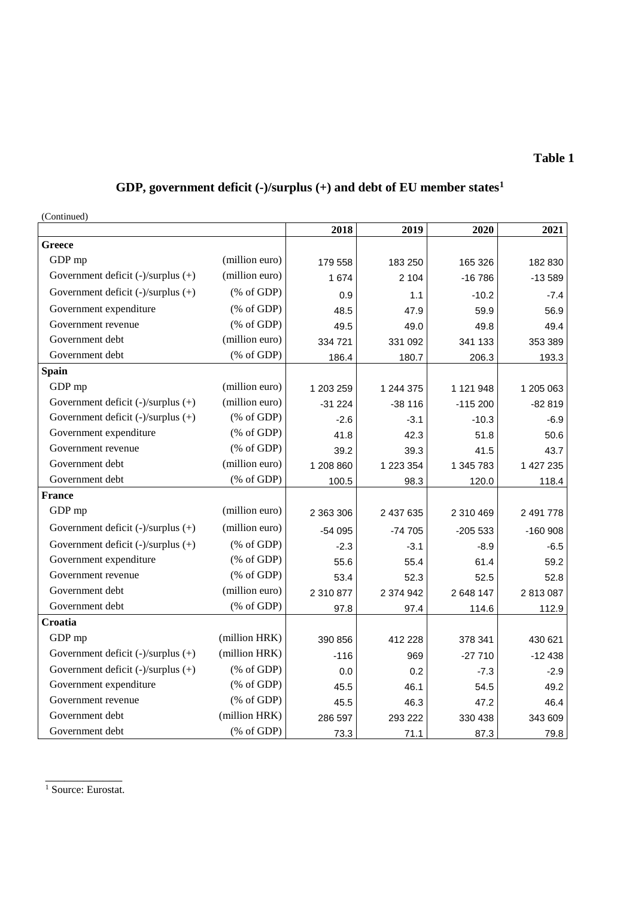# **GDP, government deficit (-)/surplus (+) and debt of EU member states<sup>1</sup>**

(Continued)

| $($ Comunitied                          |                                                       | 2018      | 2019      | 2020      | 2021      |
|-----------------------------------------|-------------------------------------------------------|-----------|-----------|-----------|-----------|
| <b>Greece</b>                           |                                                       |           |           |           |           |
| GDP mp                                  | (million euro)                                        | 179 558   | 183 250   | 165 326   | 182 830   |
| Government deficit (-)/surplus (+)      | (million euro)                                        | 1674      | 2 104     | $-16786$  | $-13589$  |
| Government deficit (-)/surplus (+)      | $(% \mathcal{L}_{0} \cap \mathcal{L}_{1})$ (% of GDP) | 0.9       | 1.1       | $-10.2$   | $-7.4$    |
| Government expenditure                  | $(% \mathcal{L}_{0} \cap \mathcal{L}_{1})$ (% of GDP) | 48.5      | 47.9      | 59.9      | 56.9      |
| Government revenue                      | $(% \mathcal{L}_{0} \cap \mathcal{L}_{1})$ (% of GDP) | 49.5      | 49.0      | 49.8      | 49.4      |
| Government debt                         | (million euro)                                        | 334 721   | 331 092   | 341 133   | 353 389   |
| Government debt                         | $(% \mathcal{L}_{0} \cap \mathcal{L}_{1})$ (% of GDP) | 186.4     | 180.7     | 206.3     | 193.3     |
| <b>Spain</b>                            |                                                       |           |           |           |           |
| GDP mp                                  | (million euro)                                        | 1 203 259 | 1 244 375 | 1 121 948 | 1 205 063 |
| Government deficit $(-)/$ surplus $(+)$ | (million euro)                                        | $-31224$  | $-38116$  | $-115200$ | $-82819$  |
| Government deficit (-)/surplus (+)      | $(% \mathcal{L}_{0} \cap \mathcal{L}_{1})$ (% of GDP) | $-2.6$    | $-3.1$    | $-10.3$   | $-6.9$    |
| Government expenditure                  | $(% \mathcal{L}_{0}^{\infty}$ (% of GDP)              | 41.8      | 42.3      | 51.8      | 50.6      |
| Government revenue                      | $(% \mathcal{L}_{0} \cap \mathcal{L}_{1})$ (% of GDP) | 39.2      | 39.3      | 41.5      | 43.7      |
| Government debt                         | (million euro)                                        | 1 208 860 | 1 223 354 | 1 345 783 | 1 427 235 |
| Government debt                         | $(% \mathcal{L}_{0}$ (% of GDP)                       | 100.5     | 98.3      | 120.0     | 118.4     |
| <b>France</b>                           |                                                       |           |           |           |           |
| GDP mp                                  | (million euro)                                        | 2 363 306 | 2 437 635 | 2 310 469 | 2 491 778 |
| Government deficit $(-)/$ surplus $(+)$ | (million euro)                                        | -54 095   | $-74705$  | $-205533$ | $-160908$ |
| Government deficit (-)/surplus (+)      | $(% \mathcal{L}_{0} \cap \mathcal{L}_{1})$ (% of GDP) | $-2.3$    | $-3.1$    | $-8.9$    | $-6.5$    |
| Government expenditure                  | $(% \mathcal{L}_{0}^{\infty}$ (% of GDP)              | 55.6      | 55.4      | 61.4      | 59.2      |
| Government revenue                      | $(% \mathcal{L}_{0} \cap \mathcal{L}_{1})$ (% of GDP) | 53.4      | 52.3      | 52.5      | 52.8      |
| Government debt                         | (million euro)                                        | 2 310 877 | 2 374 942 | 2 648 147 | 2813087   |
| Government debt                         | $(% \mathcal{L}_{0} \cap \mathcal{L}_{1})$ (% of GDP) | 97.8      | 97.4      | 114.6     | 112.9     |
| Croatia                                 |                                                       |           |           |           |           |
| GDP mp                                  | (million HRK)                                         | 390 856   | 412 228   | 378 341   | 430 621   |
| Government deficit $(-)/$ surplus $(+)$ | (million HRK)                                         | $-116$    | 969       | $-27710$  | $-12438$  |
| Government deficit (-)/surplus (+)      | $(% \mathcal{L}_{0} \cap \mathcal{L}_{1})$ (% of GDP) | 0.0       | 0.2       | $-7.3$    | $-2.9$    |
| Government expenditure                  | $(% \mathcal{L}_{0}^{\infty}$ (% of GDP)              | 45.5      | 46.1      | 54.5      | 49.2      |
| Government revenue                      | $(% \mathcal{L}_{0} \cap \mathcal{L}_{1})$ (% of GDP) | 45.5      | 46.3      | 47.2      | 46.4      |
| Government debt                         | (million HRK)                                         | 286 597   | 293 222   | 330 438   | 343 609   |
| Government debt                         | $(% \mathcal{L}_{0} \cap \mathcal{L}_{1})$ (% of GDP) | 73.3      | 71.1      | 87.3      | 79.8      |

\_\_\_\_\_\_\_\_\_\_\_\_ <sup>1</sup> Source: Eurostat.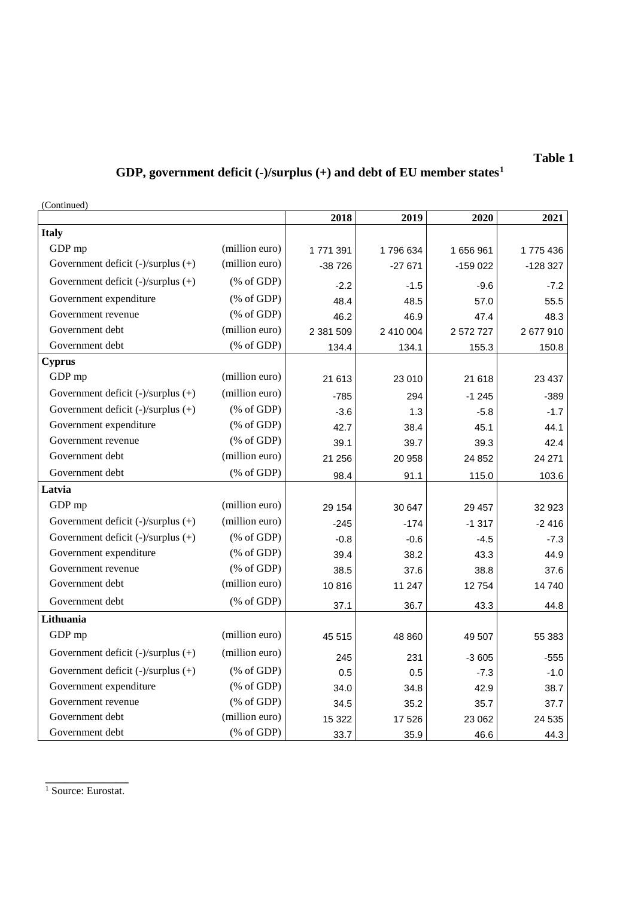## **GDP, government deficit (-)/surplus (+) and debt of EU member states<sup>1</sup>**

(Continued)

|                                         |                                                       | 2018      | 2019      | 2020      | 2021      |
|-----------------------------------------|-------------------------------------------------------|-----------|-----------|-----------|-----------|
| <b>Italy</b>                            |                                                       |           |           |           |           |
| GDP mp                                  | (million euro)                                        | 1 771 391 | 1796634   | 1656961   | 1775436   |
| Government deficit $(-)/$ surplus $(+)$ | (million euro)                                        | $-38726$  | $-27671$  | $-159022$ | $-128327$ |
| Government deficit $(-)/$ surplus $(+)$ | $(% \mathcal{L}_{0} \cap \mathcal{L}_{1})$ (% of GDP) | $-2.2$    | $-1.5$    | $-9.6$    | $-7.2$    |
| Government expenditure                  | $(% \mathcal{L}_{0} \cap \mathcal{L}_{1})$ (% of GDP) | 48.4      | 48.5      | 57.0      | 55.5      |
| Government revenue                      | $(% \mathcal{L}_{0} \cap \mathcal{L}_{1})$ (% of GDP) | 46.2      | 46.9      | 47.4      | 48.3      |
| Government debt                         | (million euro)                                        | 2 381 509 | 2 410 004 | 2 572 727 | 2677910   |
| Government debt                         | $(% \mathcal{L}_{0} \cap \mathcal{L}_{1})$ (% of GDP) | 134.4     | 134.1     | 155.3     | 150.8     |
| <b>Cyprus</b>                           |                                                       |           |           |           |           |
| GDP mp                                  | (million euro)                                        | 21 613    | 23 010    | 21 618    | 23 437    |
| Government deficit $(-)/$ surplus $(+)$ | (million euro)                                        | $-785$    | 294       | $-1245$   | $-389$    |
| Government deficit $(-)/$ surplus $(+)$ | $(% \mathcal{L}_{0} \cap \mathcal{L}_{1})$ (% of GDP) | $-3.6$    | 1.3       | $-5.8$    | $-1.7$    |
| Government expenditure                  | $(% \mathcal{L}_{0} \cap \mathcal{L}_{1})$ (% of GDP) | 42.7      | 38.4      | 45.1      | 44.1      |
| Government revenue                      | $(% \mathcal{L}_{0} \cap \mathcal{L}_{1})$ (% of GDP) | 39.1      | 39.7      | 39.3      | 42.4      |
| Government debt                         | (million euro)                                        | 21 25 6   | 20 958    | 24 852    | 24 271    |
| Government debt                         | $(% \mathcal{L}_{0} \cap \mathcal{L}_{1})$ (% of GDP) | 98.4      | 91.1      | 115.0     | 103.6     |
| Latvia                                  |                                                       |           |           |           |           |
| GDP mp                                  | (million euro)                                        | 29 154    | 30 647    | 29 457    | 32 923    |
| Government deficit $(-)/$ surplus $(+)$ | (million euro)                                        | $-245$    | $-174$    | $-1317$   | $-2416$   |
| Government deficit $(-)/$ surplus $(+)$ | $(% \mathcal{L}_{0}^{\infty}$ (% of GDP)              | $-0.8$    | $-0.6$    | $-4.5$    | $-7.3$    |
| Government expenditure                  | $(% \mathcal{L}_{0} \cap \mathcal{L}_{1})$ (% of GDP) | 39.4      | 38.2      | 43.3      | 44.9      |
| Government revenue                      | $(% \mathcal{L}_{0} \cap \mathcal{L}_{1})$ (% of GDP) | 38.5      | 37.6      | 38.8      | 37.6      |
| Government debt                         | (million euro)                                        | 10816     | 11 247    | 12754     | 14740     |
| Government debt                         | $(% \mathcal{L}_{0} \cap \mathcal{L}_{1})$ (% of GDP) | 37.1      | 36.7      | 43.3      | 44.8      |
| Lithuania                               |                                                       |           |           |           |           |
| GDP mp                                  | (million euro)                                        | 45 515    | 48 860    | 49 507    | 55 383    |
| Government deficit $(-)/$ surplus $(+)$ | (million euro)                                        | 245       | 231       | $-3605$   | $-555$    |
| Government deficit (-)/surplus (+)      | $(% \mathcal{L}_{0} \cap \mathcal{L}_{1})$ (% of GDP) | 0.5       | 0.5       | $-7.3$    | $-1.0$    |
| Government expenditure                  | $(% \mathcal{L}_{0} \cap \mathcal{L}_{1})$ (% of GDP) | 34.0      | 34.8      | 42.9      | 38.7      |
| Government revenue                      | $(% \mathcal{L}_{0} \cap \mathcal{L}_{1})$ (% of GDP) | 34.5      | 35.2      | 35.7      | 37.7      |
| Government debt                         | (million euro)                                        | 15 322    | 17 526    | 23 062    | 24 535    |
| Government debt                         | $(% \mathcal{L}_{0} \cap \mathcal{L}_{1})$ (% of GDP) | 33.7      | 35.9      | 46.6      | 44.3      |

**\_\_\_\_\_\_\_\_\_\_\_\_\_** <sup>1</sup> Source: Eurostat.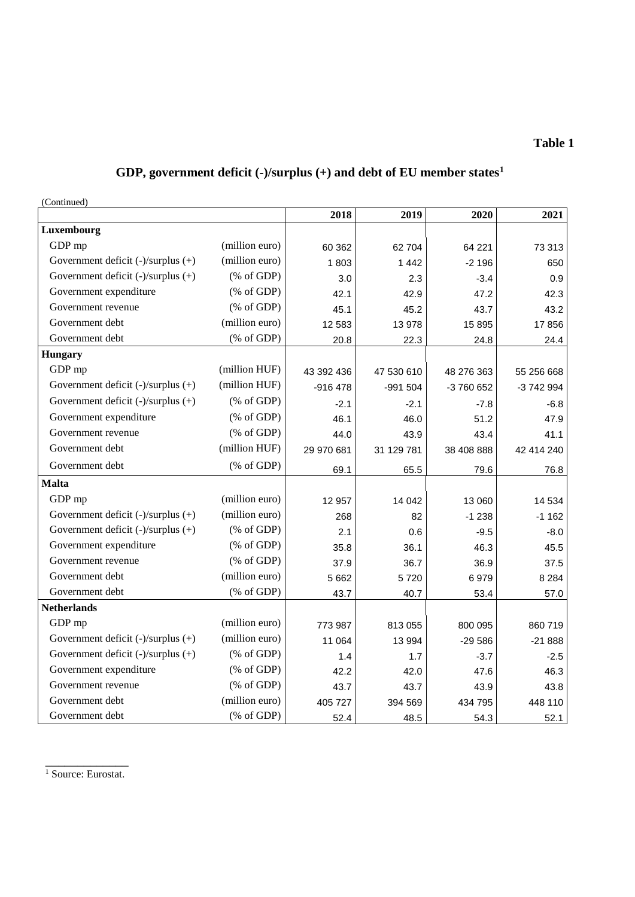## **GDP, government deficit (-)/surplus (+) and debt of EU member states<sup>1</sup>**

(Continued)

|                                         |                                                                 | 2018       | 2019       | 2020       | 2021       |
|-----------------------------------------|-----------------------------------------------------------------|------------|------------|------------|------------|
| Luxembourg                              |                                                                 |            |            |            |            |
| GDP mp                                  | (million euro)                                                  | 60 362     | 62 704     | 64 221     | 73 313     |
| Government deficit $(-)/$ surplus $(+)$ | (million euro)                                                  | 1803       | 1442       | $-2196$    | 650        |
| Government deficit $(-)/$ surplus $(+)$ | $(% \mathcal{L}_{0}^{\ast }\otimes \mathcal{L}_{1})$ (% of GDP) | 3.0        | 2.3        | $-3.4$     | 0.9        |
| Government expenditure                  | $(% \mathcal{L}_{0} \cap \mathcal{L}_{1})$ (% of GDP)           | 42.1       | 42.9       | 47.2       | 42.3       |
| Government revenue                      | $(% \mathcal{L}_{0} \cap \mathcal{L}_{1})$ (% of GDP)           | 45.1       | 45.2       | 43.7       | 43.2       |
| Government debt                         | (million euro)                                                  | 12 5 8 3   | 13 978     | 15 8 95    | 17856      |
| Government debt                         | $(% \mathcal{L}_{0} \cap \mathcal{L}_{1})$ (% of GDP)           | 20.8       | 22.3       | 24.8       | 24.4       |
| <b>Hungary</b>                          |                                                                 |            |            |            |            |
| GDP mp                                  | (million HUF)                                                   | 43 392 436 | 47 530 610 | 48 276 363 | 55 256 668 |
| Government deficit $(-)/$ surplus $(+)$ | (million HUF)                                                   | $-916478$  | -991 504   | -3 760 652 | -3 742 994 |
| Government deficit $(-)/$ surplus $(+)$ | $(% \mathcal{L}_{0} \cap \mathcal{L}_{1})$ (% of GDP)           | $-2.1$     | $-2.1$     | $-7.8$     | $-6.8$     |
| Government expenditure                  | $(% \mathcal{L}_{0} \cap \mathcal{L}_{1})$ (% of GDP)           | 46.1       | 46.0       | 51.2       | 47.9       |
| Government revenue                      | $(% \mathcal{L}_{0} \cap \mathcal{L}_{1})$ (% of GDP)           | 44.0       | 43.9       | 43.4       | 41.1       |
| Government debt                         | (million HUF)                                                   | 29 970 681 | 31 129 781 | 38 408 888 | 42 414 240 |
| Government debt                         | $(% \mathcal{L}_{0} \cap \mathcal{L}_{1})$ (% of GDP)           | 69.1       | 65.5       | 79.6       | 76.8       |
| <b>Malta</b>                            |                                                                 |            |            |            |            |
| GDP mp                                  | (million euro)                                                  | 12 957     | 14 042     | 13 060     | 14 5 34    |
| Government deficit (-)/surplus (+)      | (million euro)                                                  | 268        | 82         | $-1238$    | $-1162$    |
| Government deficit (-)/surplus (+)      | $(% \mathcal{L}_{0} \cap \mathcal{L}_{1})$ (% of GDP)           | 2.1        | 0.6        | $-9.5$     | $-8.0$     |
| Government expenditure                  | $(% \mathcal{L}_{0} \cap \mathcal{L}_{1})$ (% of GDP)           | 35.8       | 36.1       | 46.3       | 45.5       |
| Government revenue                      | $(% \mathcal{L}_{0} \cap \mathcal{L}_{1})$ (% of GDP)           | 37.9       | 36.7       | 36.9       | 37.5       |
| Government debt                         | (million euro)                                                  | 5 6 6 2    | 5720       | 6979       | 8 2 8 4    |
| Government debt                         | $(% \mathcal{L}_{0}$ (% of GDP)                                 | 43.7       | 40.7       | 53.4       | 57.0       |
| <b>Netherlands</b>                      |                                                                 |            |            |            |            |
| GDP mp                                  | (million euro)                                                  | 773 987    | 813 055    | 800 095    | 860 719    |
| Government deficit (-)/surplus (+)      | (million euro)                                                  | 11 064     | 13 994     | $-29586$   | $-21888$   |
| Government deficit (-)/surplus (+)      | $(% \mathcal{L}_{0} \cap \mathcal{L}_{1})$ (% of GDP)           | 1.4        | 1.7        | $-3.7$     | $-2.5$     |
| Government expenditure                  | $(% \mathcal{L}_{0} \cap \mathcal{L}_{1})$ (% of GDP)           | 42.2       | 42.0       | 47.6       | 46.3       |
| Government revenue                      | $(% \mathcal{L}_{0} \cap \mathcal{L}_{1})$ (% of GDP)           | 43.7       | 43.7       | 43.9       | 43.8       |
| Government debt                         | (million euro)                                                  | 405 727    | 394 569    | 434 795    | 448 110    |
| Government debt                         | $(% \mathcal{L}_{0}$ (% of GDP)                                 | 52.4       | 48.5       | 54.3       | 52.1       |

\_\_\_\_\_\_\_\_\_\_\_\_\_ <sup>1</sup> Source: Eurostat.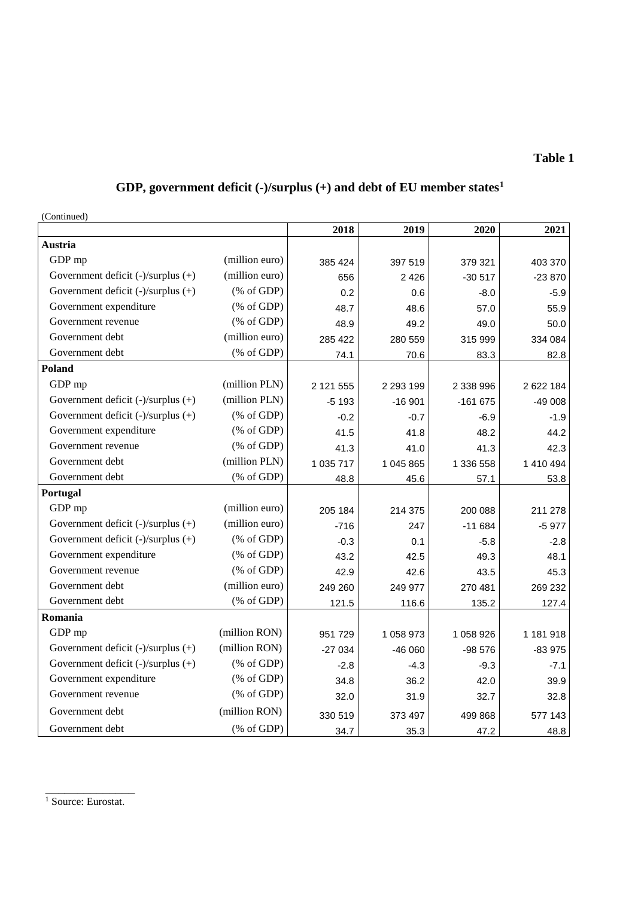# **GDP, government deficit (-)/surplus (+) and debt of EU member states<sup>1</sup>**

(Continued)

| $($ Comunued)                           |                                                                 | 2018      | 2019          | 2020      | 2021      |
|-----------------------------------------|-----------------------------------------------------------------|-----------|---------------|-----------|-----------|
| Austria                                 |                                                                 |           |               |           |           |
| GDP mp                                  | (million euro)                                                  | 385 424   | 397 519       | 379 321   | 403 370   |
| Government deficit $(-)/$ surplus $(+)$ | (million euro)                                                  | 656       | 2 4 2 6       | $-30517$  | $-23870$  |
| Government deficit $(-)/$ surplus $(+)$ | $(% \mathcal{L}_{0} \cap \mathcal{L}_{1})$ (% of GDP)           | 0.2       | 0.6           | $-8.0$    | $-5.9$    |
| Government expenditure                  | $(% \mathcal{L}_{0} \cap \mathcal{L}_{1})$ (% of GDP)           | 48.7      | 48.6          | 57.0      | 55.9      |
| Government revenue                      | $(% \mathcal{L}_{0} \cap \mathcal{L}_{1})$ (% of GDP)           | 48.9      | 49.2          | 49.0      | 50.0      |
| Government debt                         | (million euro)                                                  | 285 422   | 280 559       | 315 999   | 334 084   |
| Government debt                         | $(% \mathcal{L}_{0} \cap \mathcal{L}_{1})$ (% of GDP)           | 74.1      | 70.6          | 83.3      | 82.8      |
| Poland                                  |                                                                 |           |               |           |           |
| GDP mp                                  | (million PLN)                                                   | 2 121 555 | 2 2 9 3 1 9 9 | 2 338 996 | 2 622 184 |
| Government deficit $(-)/$ surplus $(+)$ | (million PLN)                                                   | $-5193$   | $-16901$      | $-161675$ | $-49008$  |
| Government deficit $(-)/$ surplus $(+)$ | $(% \mathcal{L}_{0}^{\ast }\otimes \mathcal{L}_{1})$ (% of GDP) | $-0.2$    | $-0.7$        | $-6.9$    | $-1.9$    |
| Government expenditure                  | $(% \mathcal{L}_{0} \cap \mathcal{L}_{1})$ (% of GDP)           | 41.5      | 41.8          | 48.2      | 44.2      |
| Government revenue                      | $(% \mathcal{L}_{0} \cap \mathcal{L}_{1})$ (% of GDP)           | 41.3      | 41.0          | 41.3      | 42.3      |
| Government debt                         | (million PLN)                                                   | 1 035 717 | 1 045 865     | 1 336 558 | 1 410 494 |
| Government debt                         | $(% \mathcal{L}_{0} \cap \mathcal{L}_{1})$ (% of GDP)           | 48.8      | 45.6          | 57.1      | 53.8      |
| Portugal                                |                                                                 |           |               |           |           |
| GDP mp                                  | (million euro)                                                  | 205 184   | 214 375       | 200 088   | 211 278   |
| Government deficit $(-)/$ surplus $(+)$ | (million euro)                                                  | $-716$    | 247           | $-11684$  | $-5977$   |
| Government deficit (-)/surplus (+)      | $(% \mathcal{L}_{0}^{\ast }\otimes \mathcal{L}_{1})$ (% of GDP) | $-0.3$    | 0.1           | $-5.8$    | $-2.8$    |
| Government expenditure                  | $(% \mathcal{L}_{0} \cap \mathcal{L}_{1})$ (% of GDP)           | 43.2      | 42.5          | 49.3      | 48.1      |
| Government revenue                      | $(% \mathcal{L}_{0} \cap \mathcal{L}_{1})$ (% of GDP)           | 42.9      | 42.6          | 43.5      | 45.3      |
| Government debt                         | (million euro)                                                  | 249 260   | 249 977       | 270 481   | 269 232   |
| Government debt                         | $(% \mathcal{L}_{0} \cap \mathcal{L}_{1})$ (% of GDP)           | 121.5     | 116.6         | 135.2     | 127.4     |
| Romania                                 |                                                                 |           |               |           |           |
| GDP mp                                  | (million RON)                                                   | 951 729   | 1 058 973     | 1 058 926 | 1 181 918 |
| Government deficit $(-)/$ surplus $(+)$ | (million RON)                                                   | $-27034$  | $-46060$      | $-98576$  | $-83975$  |
| Government deficit (-)/surplus (+)      | $(% \mathcal{L}_{0} \cap \mathcal{L}_{1})$ (% of GDP)           | $-2.8$    | $-4.3$        | $-9.3$    | $-7.1$    |
| Government expenditure                  | $(% \mathcal{L}_{0} \cap \mathcal{L}_{1})$ (% of GDP)           | 34.8      | 36.2          | 42.0      | 39.9      |
| Government revenue                      | $(% \mathcal{L}_{0} \cap \mathcal{L}_{1})$ (% of GDP)           | 32.0      | 31.9          | 32.7      | 32.8      |
| Government debt                         | (million RON)                                                   | 330 519   | 373 497       | 499 868   | 577 143   |
| Government debt                         | (% of GDP)                                                      | 34.7      | 35.3          | 47.2      | 48.8      |

\_\_\_\_\_\_\_\_\_\_\_\_\_\_ <sup>1</sup> Source: Eurostat.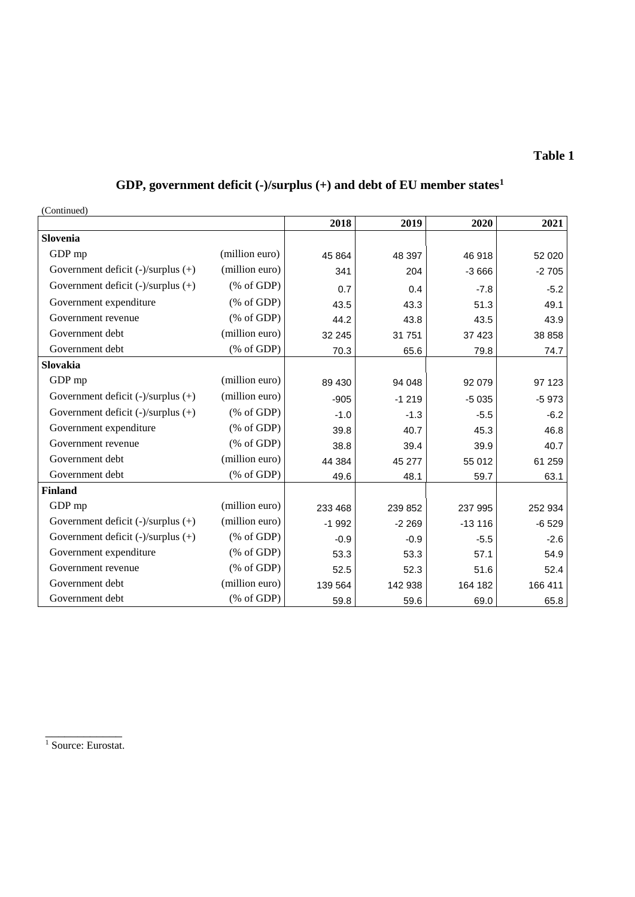# **GDP, government deficit (-)/surplus (+) and debt of EU member states<sup>1</sup>**

(Continued)

|                                         |                                                       | 2018    | 2019    | 2020     | 2021    |
|-----------------------------------------|-------------------------------------------------------|---------|---------|----------|---------|
| Slovenia                                |                                                       |         |         |          |         |
| GDP mp                                  | (million euro)                                        | 45 864  | 48 397  | 46 918   | 52 0 20 |
| Government deficit (-)/surplus (+)      | (million euro)                                        | 341     | 204     | $-3666$  | $-2705$ |
| Government deficit (-)/surplus (+)      | $(% \mathcal{L}_{0}^{\infty}$ (% of GDP)              | 0.7     | 0.4     | $-7.8$   | $-5.2$  |
| Government expenditure                  | $(% \mathcal{L}_{0}^{\infty}$ (% of GDP)              | 43.5    | 43.3    | 51.3     | 49.1    |
| Government revenue                      | $(% \mathcal{L}_{0} \cap \mathcal{L}_{1})$ (% of GDP) | 44.2    | 43.8    | 43.5     | 43.9    |
| Government debt                         | (million euro)                                        | 32 245  | 31 751  | 37 4 23  | 38 858  |
| Government debt                         | (% of GDP)                                            | 70.3    | 65.6    | 79.8     | 74.7    |
| Slovakia                                |                                                       |         |         |          |         |
| GDP mp                                  | (million euro)                                        | 89 430  | 94 048  | 92 079   | 97 123  |
| Government deficit (-)/surplus (+)      | (million euro)                                        | $-905$  | $-1219$ | $-5035$  | $-5973$ |
| Government deficit $(-)/$ surplus $(+)$ | $(% \mathcal{L}_{0}^{\infty}$ (% of GDP)              | $-1.0$  | $-1.3$  | $-5.5$   | $-6.2$  |
| Government expenditure                  | $(% \mathcal{L}_{0}$ (% of GDP)                       | 39.8    | 40.7    | 45.3     | 46.8    |
| Government revenue                      | $(% \mathcal{L}_{0}^{\infty}$ (% of GDP)              | 38.8    | 39.4    | 39.9     | 40.7    |
| Government debt                         | (million euro)                                        | 44 384  | 45 277  | 55 012   | 61 259  |
| Government debt                         | $(% \mathcal{L}_{0} \cap \mathcal{L}_{1})$ (% of GDP) | 49.6    | 48.1    | 59.7     | 63.1    |
| <b>Finland</b>                          |                                                       |         |         |          |         |
| GDP mp                                  | (million euro)                                        | 233 468 | 239 852 | 237 995  | 252 934 |
| Government deficit $(-)/$ surplus $(+)$ | (million euro)                                        | $-1992$ | $-2269$ | $-13116$ | $-6529$ |
| Government deficit $(-)/$ surplus $(+)$ | $(% \mathcal{L}_{0}^{\infty}$ (% of GDP)              | $-0.9$  | $-0.9$  | $-5.5$   | $-2.6$  |
| Government expenditure                  | $(% \mathcal{L}_{0}^{\infty}$ (% of GDP)              | 53.3    | 53.3    | 57.1     | 54.9    |
| Government revenue                      | $(% \mathcal{L}_{0} \cap \mathcal{L}_{1})$ (% of GDP) | 52.5    | 52.3    | 51.6     | 52.4    |
| Government debt                         | (million euro)                                        | 139 564 | 142 938 | 164 182  | 166 411 |
| Government debt                         | $(% \mathcal{L}_{0} \cap \mathcal{L}_{1})$ (% of GDP) | 59.8    | 59.6    | 69.0     | 65.8    |

\_\_\_\_\_\_\_\_\_\_\_\_ <sup>1</sup> Source: Eurostat.